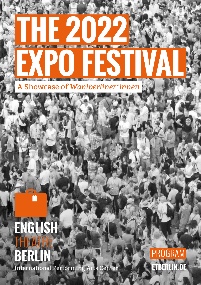

ENGLISH BERLIN International Performing Arts Center

**ETBERLIN.DE** PROGRAM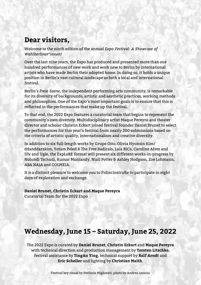## **Dear visitors,**

Welcome to the ninth edition of the annual *Expo Festival: A Showcase of Wahlberliner\*innen!*

Over the last nine years, the Expo has produced and presented more than one hundred performances of new work and work new to Berlin by international artists who have made Berlin their adopted home. In doing so, it holds a unique position in Berlin's vast cultural landscape as both a local and international festival.

Berlin's *Freie Szene*, the independent performing arts community, is remarkable for its diversity of backgrounds, artistic and aesthetic practices, working methods and philosophies. One of the Expo's most important goals is to ensure that this is reflected in the performances that make up the festival.

To that end, the 2022 Expo features a curatorial team that begins to represent the community's own diversity. Multidisciplinary artist Maque Pereyra and theater director and scholar Christin Eckart joined festival founder Daniel Brunet to select the performances for this year's festival from nearly 200 submissions based on the criteria of artistic quality, internationalism and creative diversity.

In addition to six full-length works by Grupo Oito, Olivia Hyunsin Kim/ ddanddarakim, Yotam Peled & The Free Radicals, Laia RiCa, Caroline Alves and Ulv and Ugle, the ExpLoRE format will present six different works-in-progress by Nolundi Tschudi, Kumar Muniandy, Niall Potter & Ashley Hodgson, Zoe Lohmann, ABA NAIA and COLMEIA.

It is a distinct pleasure to welcome you to Fidincinstraße to participate in eight days of exploration and exchange.

**Daniel Brunet, Christin Eckart and Maque Pereyra** Curatorial Team for the 2022 Expo

## **Wednesday, June 15 – Saturday, June 25, 2022**

The 2022 Expo is curated by **Daniel Brunet**, **Christin Eckart** and **Maque Pereyra** with technical direction and production management by **Torsten Litschko**, festival assistance by **TingAn Ying**, technical support by **Ralf Arndt** and **Eric Scheller** and lighting by **Christian Maith**.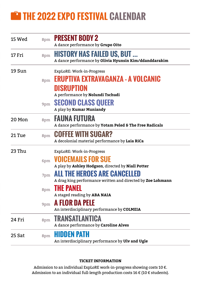# **THE 2022 EXPO FESTIVAL CALENDAR**

| 15 Wed | 8pm | <b>PRESENT BODY 2</b><br>A dance performance by Grupo Oito                                                                      |
|--------|-----|---------------------------------------------------------------------------------------------------------------------------------|
| 17 Fri | 8pm | <b>HISTORY HAS FAILED US, BUT </b><br>A dance performance by Olivia Hyunsin Kim/ddanddarakim                                    |
| 19 Sun | 8pm | ExpLoRE: Work-in-Progress<br><b>ERUPTIVA EXTRAVAGANZA - A VOLCANIC</b><br><b>DISRUPTION</b><br>A performance by Nolundi Tschudi |
|        |     | <b>9pm SECOND CLASS QUEER</b><br>A play by Kumar Muniandy                                                                       |
| 20 Mon | 8pm | <b>FAUNA FUTURA</b><br>A dance performance by Yotam Peled & The Free Radicals                                                   |
| 21 Tue | 8pm | <b>COFFEE WITH SUGAR?</b><br>A decolonial material performance by Laia RiCa                                                     |
| 23 Thu |     | ExpLoRE: Work-in-Progress                                                                                                       |
|        | 6pm | <b>VOICEMAILS FOR SUE</b><br>A play by Ashley Hodgson, directed by Niall Potter                                                 |
|        | 7pm | <b>ALL THE HEROES ARE CANCELLED</b><br>A drag king performance written and directed by Zoe Lohmann                              |
|        | 8pm | <b>THE PANEL</b><br>A staged reading by ABA NAIA                                                                                |
|        | 9pm | A FLOR DA PELE<br>An interdisciplinary performance by COLMEIA                                                                   |
| 24 Fri | 8pm | <b>TRANSATLANTICA</b><br>A dance performance by Caroline Alves                                                                  |
| 25 Sat | 8pm | <b>HIDDEN PATH</b><br>An interdisciplinary performance by Ulv and Ugle                                                          |

#### **TICKET INFORMATION**

Admission to an individual ExpLoRE work-in-progress showing costs 10  $\in$ . Admission to an individual full-length production costs 16  $\in$  (10  $\in$  students).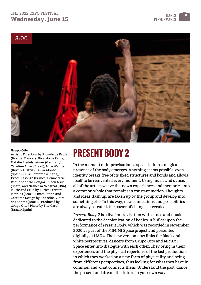### THE 2022 EXPO FESTIVAL **Wednesday, June 15 The Season of the COVE of the COVE of the COVE of the COVE of the DANCE**





Artistic Direction by Ricardo de Paula (Brazil) | Dancers: Ricardo de Paula, Natalie Riedelsheimer (Germany), Caroline Alves (Brazil), Miro Wallner (Brazil/Austria), Laura Alonso (Spain), Felix Dompreh (Ghana), Exocé Kasongo (France, Democratic Republic of the Congo), Ruben Nsue (Spain) and Nasheeka Nedsreal (USA) | Music and Cello by Eurico Ferreira Mathias (Brazil) | Installation and Costume Design by Andreina Vieira dos Santos (Brazil) | Produced by Grupo Oito | Photo by Tito Casal (Brazil/Spain)

# **PRESENT BODY 2 Grupo Oito**

In the moment of improvisation, a special, almost magical presence of the body emerges. Anything seems possible, even identity breaks free of its fixed structures and bonds and allows itself to be reinvented every moment. Using music and dance, all of the artists weave their own experiences and memories into a common whole that remains in constant motion. Thoughts and ideas flash up, are taken up by the group and develop into something else. In this way, new connections and possibilities are always created, the power of change is revealed.

*Present Body 2* is a live improvisation with dance and music dedicated to the decolonization of bodies. It builds upon the performance of *Present Body*, which was recorded in November 2020 as part of the MIMIMI Space project and presented digitally at HAU4. The new version now links the Black and white perspectives: dancers from Grupo Oito and MIMIMI Space enter into dialogue with each other. They bring in their experiences and the physical repertoire of the last productions, in which they worked on a new form of physicality and being from different perspectives, thus looking for what they have in common and what connects them. Understand the past, dance the present and dream the future in your own way!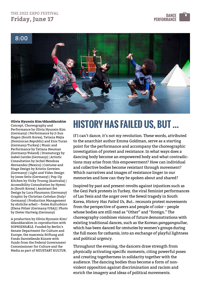### THE 2022 EXPO FESTIVAL **Friday, June 17 DANCE**<br>**Friday, June 17 DANCE**





Concept, Choreography and Performance by Olivia Hyunsin Kim (Germany) | Performance by Ji Sun Hagen (South Korea), Tatiana Mejia (Dominican Republic) and Enis Turan (Germany/Turkey) | Music and Performance by Tatiana Heuman (Germany/Poland) | Dramaturgy by Isabel Gatzke (Germany) | Artistic Consultation by Ixchel Mendoza Hernandez (Mexico) | Costume and Stage Design by Kristin Gerwien (Germany) | Light and Video Design by Jones Seitz (Germany) | Pop-Up Kitchen by Vicky Truong (Australia) | Accessibility Consultation by Hyemi Jo (South Korea) | Assistant Set Design by Luca Plaumann (Germany) Graphic by Christian Cattelan (Italy/ Germany) | Production Management by ehrliche arbeit – freies Kulturbüro [Elena Pölzer (Germany/USA)] | Photo by Dieter Hartwig (Germany)

A production by Olivia Hyunsin Kim/ ddanddarakim in coproduction with SOPHIENSÆLE. Funded by Berlin's Senate Department for Culture and Europe, the maecenia Stiftung and Fonds Darstellende Künste with funds from the Federal Government Commissioner for Culture and the Media as part of NEUSTART KULTUR.

# **COIVIA Hyunsin Kim/ddanddarakim**<br> **HISTORY HAS FAILED US, BUT ...**

If I can't dance, it's not my revolution. These words, attributed to the anarchist author Emma Goldman, serve as a starting point for the performance and accompany the choreographic investigation of protest and resistance. In what ways does a dancing body become an empowered body and what contradictions may arise from this empowerment? How can individual and collective bodies become resistant through movement? Which narratives and images of resistance linger in our memories and how can they be spoken about and shared?

Inspired by past and present revolts against injustices such as the Gezi Park protests in Turkey, the viral feminist performances of Las Tesis and the anger over the Sewol tragedy in South Korea, *History Has Failed Us, But...* recounts protest movements from the perspective of queers and people of color – people whose bodies are still read as "Other" and "foreign." The choreography combines visions of future demonstrations with existing traditional dances, such as the Korean *ganggangsullae*, which has been danced for centuries by women's groups during the full moon for catharsis, into an exchange of playful lightness and political urgency.

Throughout the evening, the dancers draw strength from physically activating specific moments, citing powerful poses and creating togetherness in solidarity together with the audience. The dancing bodies thus become a form of nonviolent opposition against discrimination and racism and enrich the imagery and ideas of political movements.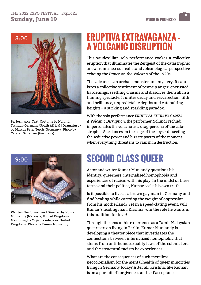### THE 2022 EXPO FESTIVAL | ExpLoRE **Sunday, June 19**



Performance, Text, Costume by Nolundi Tschudi (Germany/South Africa) | Dramaturgy by Marcus Peter Tesch (Germany) | Photo by Carsten Schenker (Germany)

# **ERUPTIVA EXTRAVAGANZA – A VOLCANIC DISRUPTION**

This vaudevillian solo performance evokes a collective eruption that illuminates the Zeitgeist of the catastrophic anew from a neo-surrealist and volcanological perspective echoing the *Dance on the Volcano* of the 1920s.

The volcano is an archaic monster and mystery. It catalyzes a collective sentiment of pent-up anger, encrusted hardenings, seething chasms and dissolves them all in a flaming spectacle. It unites decay and resurrection, filth and brilliance, unpredictable depths and catapulting heights – a striking and sparkling paradox.

With the solo performance *ERUPTIVA EXTRAVAGANZA – A Volcanic Disruption*, the performer Nolundi Tschudi impersonates the volcano as a drag-persona of the catastrophic. She dances on the edge of the abyss: dissecting the seductive power and bizarre poetry of the moment when everything threatens to vanish in destruction.



Written, Performed and Directed by Kumar Muniandy (Malaysia, United Kingdom) | Mentoring by Mojisola Adebayo (United Kingdom) | Photo by Kumar Muniandy

# **SECOND CLASS QUEER**

Actor and writer Kumar Muniandy questions his identity, queerness, internalized homophobia and experiences of racism with his play. In the midst of these terms and their politics, Kumar seeks his own truth.

Is it possible to live as a brown gay man in Germany and find healing while carrying the weight of oppression from his motherland? Set in a speed-dating event, will Kumar's leading man, Krishna, win the role he wants in this audition for love?

Through the lens of his experience as a Tamil-Malaysian queer person living in Berlin, Kumar Muniandy is developing a theater piece that investigates the connections between internalized homophobia that stems from anti-homosexuality laws of the colonial era and the structural racism he experiences.

What are the consequences of such merciless neocolonialism for the mental health of queer minorities living in Germany today? After all, Krishna, like Kumar, is on a pursuit of forgiveness and self acceptance.

**WORK-IN-PROGRESS**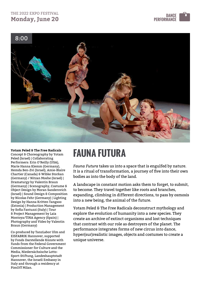## THE 2022 EXPO FESTIVAL **Monday, June 20**





**FAUNA FUTURA**<br> **Concept & Choreography by Yotam**<br> **FAUNA FUTURA** Concept & Choreography by Yotam Peled (Israel) | Collaborating Performers: Erin O'Reilly (USA), Marie Hanna Klemm (Germany), Hemda Ben-Zvi (Israel), Amie-Blaire Chartier (Canada) & Wibke Storkan (Germany) / Nitzan Moshe (Israel) | Dramaturgy by Valentin Braun (Germany) | Scenography, Costume & Object Design by Moran Sanderovich (Israel) | Sound Design & Composition by Nicolas Fehr (Germany) | Lighting Design by Hanna Kritten Tangsoo (Estonia) | Production Management by Sofia Fantuzzi (Italy) | Tour & Project Management by Laia Montoya/TINA Agency (Spain) | Photography and Video by Valentin Braun (Germany)

Co-produced by TanzLabor Ulm and EISFABRIK Hannover, supported by Fonds Darstellende Künste with funds from the Federal Government Commissioner for Culture and the Media, Niedersächsische Lotto-Sport-Stiftung, Landeshauptstadt Hannover, the Israeli Embassy in Italy and through a residency at PimOff Milan.

*Fauna Futura* takes us into a space that is engulfed by nature. It is a ritual of transformation, a journey of five into their own bodies as into the body of the land.

A landscape in constant motion asks them to forget, to submit, to become. They travel together like roots and branches, expanding, climbing in different directions, to pass by osmosis into a new being, the animal of the future.

Yotam Peled & The Free Radicals deconstruct mythology and explore the evolution of humanity into a new species. They create an archive of extinct organisms and lost techniques that contrast with our role as destroyers of the planet. The performance integrates forms of new circus into dance, hyper(sur)realistic images, objects and costumes to create a unique universe.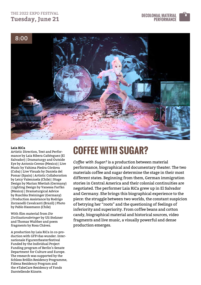## THE 2022 EXPO FESTIVAL **Tuesday, June 21**





#### **Laia RiCa**

Artistic Direction, Text and Performance by Laia Ribera Cañénguez (El Salvador) | Dramaturgy and Outside Eye by Antonio Cerezo (Mexico) | Live Music by Yahima Piedra Córdova (Cuba) | Live Visuals by Daniela del Pomar (Spain) | Artistic Collaboration by Leicy Valenzuela (Chile) | Stage Design by Marian Nketiah (Germany) | Lighting Design by Vanessa Farfán (Mexico) | Dramaturgical Advice by Ruschka Steininger (Germany) | Production Assistance by Rodrigo Zorzanelli Cavalcanti (Brazil) | Photo by Pablo Hassmann (Chile)

With film material from *Die Zivilisationsbringer* by Uli Stelzner and Thomas Walther and poem fragments by Rosa Chávez.

A production by Laia RiCa in co-production with GFP/das wunder. Internationale Figurentheaterfestival Funded by the Individual Project Funding program of Berlin's Senate Department for Culture and Europe. The research was supported by the Schloss Bröllin Residency Programme, Fidena Residency Program and the #TakeCare Residency of Fonds Darstellende Künste.

# **COFFEE WITH SUGAR?**

*Coffee with Sugar?* is a production between material performance, biographical and documentary theater. The two materials coffee and sugar determine the stage in their most different states. Beginning from them, German immigration stories in Central America and their colonial continuities are negotiated. The performer Laia RiCa grew up in El Salvador and Germany. She brings this biographical experience to the piece: the struggle between two worlds, the constant suspicion of betrying her "roots" and the questioning of feelings of inferiority and superiority. From coffee beans and cotton candy, biographical material and historical sources, video fragments and live music, a visually powerful and dense production emerges.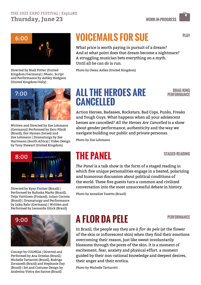

Directed by Niall Potter (United Kingdom/Germany) | Music, Script and Performance by Ashley Hodgson (United Kingdom/Italy)



Written and Directed by Zoe Lohmann (Germany)| Performed by Zero Pilnik (Brazil), Dor Hyman (Israel) and Zoe Lohmann | Dramaturgy by Zee Hartmann (South Africa) | Video Design by Tony Stewart (United Kingdom)



Directed by Kysy Fischer (Brazil) | Performed by Rafuska Marks (Brazil), Teija Vaittinen (Finland), Julian Correia (Brazil) | Dramaturgy and Performance by Jaika Bahr (Germany) | Written and Performed by Leonarda Glück (Brazil)



Concept by COLMEIA | Directed and Performed by Ana Ornelas (Brazil), Michelle Tartarotti (Brazil), Rodrigo Zorzanelli (Brazil) and Stephanie Day (Brazil) | Set and Costume Design by Andreina Vieira dos Santos (Brazil)

# **VOICEMAILS FOR SUE**

What price is worth paying in pursuit of a dream? And at what point does that dream become a nightmare? A struggling musician bets everything on a myth. Until all he can do is run.

Photo by Owan Astles (United Kingdom)

# **ALL THE HEROES ARE CANCELLED**

**DRAG KING PERFORMANCE**

Action Heroes, Badasses, Rockstars, Bad Cops, Punks, Freaks and Tough Guys. What happens when all your adolescent heroes are cancelled? *All the Heroes Are Cancelled* is a show about gender performance, authenticity and the way we navigate building our public and private personas.

Photo by Zoe Lohmann

# **THE PANEL**

#### **STAGED READING**

*The Panel* is a talk show in the form of a staged reading in which five unique personalities engage in a heated, polarizing and humorous discussion about political conditions of the world. These five guests turn a common and civilized conversation into the most unsuccessful debate in history.

Photo by Annelize Tozetto (Brazil)

# **A FLOR DA PELE**

**PERFORMANCE**

In Brazil, the people say they are *à flor da pele* (at the flower of the skin or inflorescent skin) when they find their emotions overcoming their reason, just like sweat involuntarily blossoms through the pores of the skin. It is a moment of excitement, fear, anxiety and physical effort, a moment guided by their non-rational knowledge and deepest desires, their anger and their erotica.

Photo by Michelle Tartarotti

**PLAY**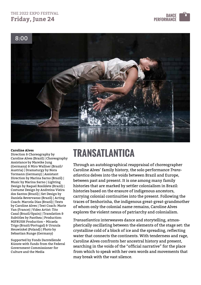## THE 2022 EXPO FESTIVAL **Friday, June 24**





#### **Caroline Alves**

Direction & Choreography by Caroline Alves (Brazil) | Choreography Assistance by Mareike Jung (Germany) & Miro Wallner (Brazil/ Austria) | Dramaturgy by Nora Tormann (Germany) | Assistant Direction by Marina Sarno (Brazil) | Music by Marina Sarno | Lighting Design by Raquel Rosildete (Brazil) | Costume Design by Andreina Vieira dos Santos (Brazil) | Set Design by Daniela Bevervanso (Brazil) | Acting Coach: Marcela Dias (Brazil) | Texts by Caroline Alves | Text Coach: Marie Yan (France) | Video Artist: Tito Casal (Brazil/Spain) | Translation & Subtitles by Panthea | Production: MIFRUSH Production – Micaela Trigo (Brazil/Portugal) & Urszula Heuwinkel (Poland) | Photo by Sebastian Runge (Germany)

Supported by Fonds Darstellende Künste with funds from the Federal Government Commissioner for Culture and the Media

# **TRANSATLANTICA**

Through an autobiographical reappraisal of choreographer Caroline Alves' family history, the solo performance *Transatlantica* delves into the voids between Brazil and Europe, between past and present. It is one among many family histories that are marked by settler colonialism in Brazil: histories based on the erasure of indigenous ancestors, carrying colonial continuities into the present. Following the traces of Senhorinha, the indigenous great-great-grandmother of whom only the colonial name remains, Caroline Alves explores the violent nexus of patriarchy and colonialism.

*Transatlantica* interweaves dance and storytelling, atmospherically oscillating between the elements of the stage set: the crystalline cold of a block of ice and the spreading, reflecting water that connects the continents. With tenderness and rage, Caroline Alves confronts her ancestral history and present, searching in the voids of the "official narrative" for the place from which to speak with her own words and movements that may break with the vast silence.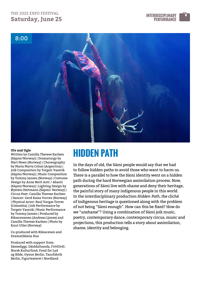## THE 2022 EXPO FESTIVAL **Saturday, June 25**





#### **Ulv and Ugle**

Written by Camilla Therese Karlsen (Sápmi/Norway) | Dramaturgy by Mari Moen (Norway) | Choreography by Maria Marta Colusi (Argentina) | Joik Composition by Torgeir Vassvik (Sápmi/Norway) | Music Composition by Tommy Jansen (Norway) | Costume Design by Anne Berit Anti / Abanti (Sápmi/Norway) | Lighting Design by Øystein Heitmann (Sápmi/ Norway) | Circus Poet: Camilla Therese Karlsen | Dancer: Gerd Kaisa Vorren (Norway) | Physical Actor: Raul Vargas Torres (Colombia) | Joik Performance by Torgeir Vassvik | Music Performance by Tommy Jansen | Produced by Riksscenenen (Andreas Ljones) and Camilla Therese Karlsen | Photo by Knut Utler (Norway)

Co-produced with Riksscenen and Dramatikkens Hus

Produced with support from: Sámediggi, Dáiddafoanda, FrittOrd!, Norsk Kulturfond, Fond for Lyd og Bilde, Oyoun Berlin, Tanzfabrik Berlin, Figurteateret i Nordland

# **HIDDEN PATH**

In the days of old, the Sámi people would say that we had to follow hidden paths to avoid those who want to harm us. There is a parallel to how the Sámi identity went on a hidden path during the hard Norwegian assimilation process. Now, generations of Sámi live with shame and deny their heritage, the painful story of many indigenous people in this world. In the interdisciplinary production *Hidden Path*, the cliché of indigenous heritage is questioned along with the problem of not being "Sámi enough". How can this be fixed? How do we "unshame"? Using a combination of Sámi joik music, poetry, contemporary dance, contemporary circus, music and projections, this production tells a story about assimilation, shame, identity and belonging.